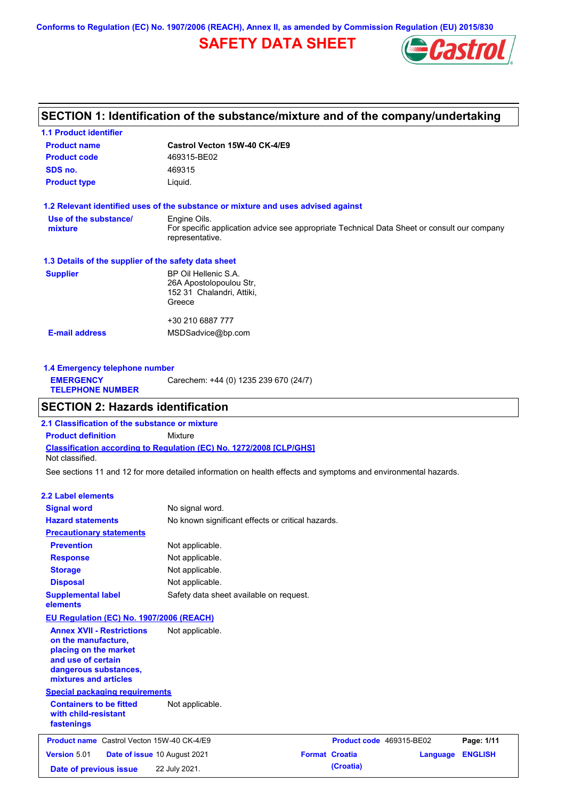**Conforms to Regulation (EC) No. 1907/2006 (REACH), Annex II, as amended by Commission Regulation (EU) 2015/830**

# **SAFETY DATA SHEET**



# **SECTION 1: Identification of the substance/mixture and of the company/undertaking**

| <b>1.1 Product identifier</b>                        |                                                                                                                |
|------------------------------------------------------|----------------------------------------------------------------------------------------------------------------|
| <b>Product name</b>                                  | Castrol Vecton 15W-40 CK-4/E9                                                                                  |
| <b>Product code</b>                                  | 469315-BE02                                                                                                    |
| SDS no.                                              | 469315                                                                                                         |
| <b>Product type</b>                                  | Liquid.                                                                                                        |
|                                                      | 1.2 Relevant identified uses of the substance or mixture and uses advised against                              |
| Use of the substance/                                | Engine Oils.                                                                                                   |
| mixture                                              | For specific application advice see appropriate Technical Data Sheet or consult our company<br>representative. |
| 1.3 Details of the supplier of the safety data sheet |                                                                                                                |
| <b>Supplier</b>                                      | BP Oil Hellenic S.A.                                                                                           |
|                                                      | 26A Apostolopoulou Str,                                                                                        |
|                                                      | 152 31 Chalandri, Attiki,                                                                                      |
|                                                      | Greece                                                                                                         |
|                                                      | +30 210 6887 777                                                                                               |
| <b>E-mail address</b>                                | MSDSadvice@bp.com                                                                                              |
|                                                      |                                                                                                                |
|                                                      |                                                                                                                |

| 1.4 Emergency telephone number              |                                       |  |  |  |
|---------------------------------------------|---------------------------------------|--|--|--|
| <b>EMERGENCY</b><br><b>TELEPHONE NUMBER</b> | Carechem: +44 (0) 1235 239 670 (24/7) |  |  |  |

# **SECTION 2: Hazards identification**

**Classification according to Regulation (EC) No. 1272/2008 [CLP/GHS] 2.1 Classification of the substance or mixture Product definition** Mixture Not classified.

See sections 11 and 12 for more detailed information on health effects and symptoms and environmental hazards.

### **2.2 Label elements**

| <b>Signal word</b><br><b>Hazard statements</b>                                                                                                           | No signal word.<br>No known significant effects or critical hazards. |                          |          |                |
|----------------------------------------------------------------------------------------------------------------------------------------------------------|----------------------------------------------------------------------|--------------------------|----------|----------------|
| <b>Precautionary statements</b>                                                                                                                          |                                                                      |                          |          |                |
| <b>Prevention</b>                                                                                                                                        | Not applicable.                                                      |                          |          |                |
| <b>Response</b>                                                                                                                                          | Not applicable.                                                      |                          |          |                |
| <b>Storage</b>                                                                                                                                           | Not applicable.                                                      |                          |          |                |
| <b>Disposal</b>                                                                                                                                          | Not applicable.                                                      |                          |          |                |
| <b>Supplemental label</b><br>elements                                                                                                                    | Safety data sheet available on request.                              |                          |          |                |
| EU Regulation (EC) No. 1907/2006 (REACH)                                                                                                                 |                                                                      |                          |          |                |
| <b>Annex XVII - Restrictions</b><br>on the manufacture,<br>placing on the market<br>and use of certain<br>dangerous substances,<br>mixtures and articles | Not applicable.                                                      |                          |          |                |
| <b>Special packaging requirements</b>                                                                                                                    |                                                                      |                          |          |                |
| <b>Containers to be fitted</b><br>with child-resistant<br>fastenings                                                                                     | Not applicable.                                                      |                          |          |                |
| <b>Product name</b> Castrol Vecton 15W-40 CK-4/E9                                                                                                        |                                                                      | Product code 469315-BE02 |          | Page: 1/11     |
| <b>Version 5.01</b>                                                                                                                                      | Date of issue 10 August 2021                                         | <b>Format Croatia</b>    | Language | <b>ENGLISH</b> |
| Date of previous issue                                                                                                                                   | 22 July 2021.                                                        | (Croatia)                |          |                |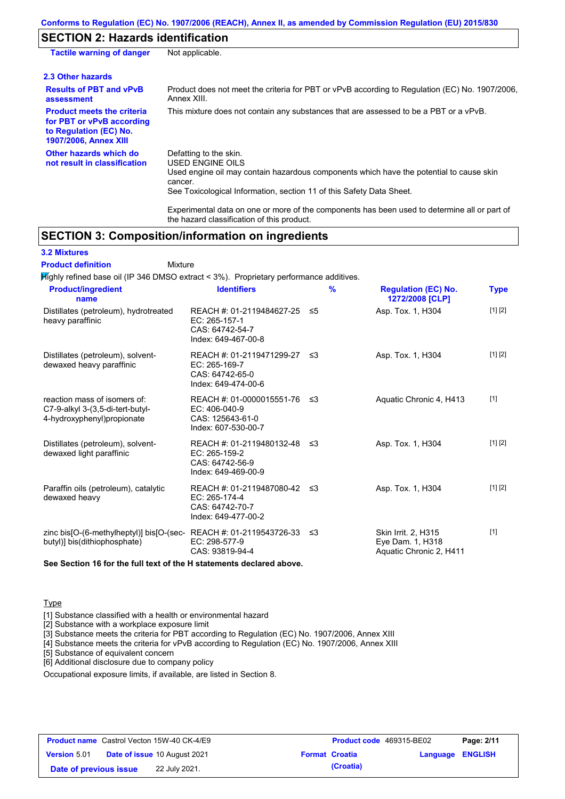# **SECTION 2: Hazards identification**

| <b>Tactile warning of danger</b>                                                                                         | Not applicable.                                                                                                                                                                                                          |
|--------------------------------------------------------------------------------------------------------------------------|--------------------------------------------------------------------------------------------------------------------------------------------------------------------------------------------------------------------------|
| 2.3 Other hazards                                                                                                        |                                                                                                                                                                                                                          |
| <b>Results of PBT and vPvB</b><br>assessment                                                                             | Product does not meet the criteria for PBT or vPvB according to Regulation (EC) No. 1907/2006,<br>Annex XIII.                                                                                                            |
| <b>Product meets the criteria</b><br>for PBT or vPvB according<br>to Regulation (EC) No.<br><b>1907/2006, Annex XIII</b> | This mixture does not contain any substances that are assessed to be a PBT or a vPvB.                                                                                                                                    |
| Other hazards which do<br>not result in classification                                                                   | Defatting to the skin.<br>USED ENGINE OILS<br>Used engine oil may contain hazardous components which have the potential to cause skin<br>cancer.<br>See Toxicological Information, section 11 of this Safety Data Sheet. |
|                                                                                                                          | For a share at all share are a consequently assessed as the set of the second to share and the second of the set of                                                                                                      |

Experimental data on one or more of the components has been used to determine all or part of the hazard classification of this product.

# **SECTION 3: Composition/information on ingredients**

Mixture

**3.2 Mixtures**

### **Product definition**

Highly refined base oil (IP 346 DMSO extract < 3%). Proprietary performance additives.

| <b>Product/ingredient</b><br>name                                                                               | <b>Identifiers</b>                                                                       |     | $\%$ | <b>Regulation (EC) No.</b><br>1272/2008 [CLP]                      | Type    |
|-----------------------------------------------------------------------------------------------------------------|------------------------------------------------------------------------------------------|-----|------|--------------------------------------------------------------------|---------|
| Distillates (petroleum), hydrotreated<br>heavy paraffinic                                                       | REACH #: 01-2119484627-25<br>$EC: 265-157-1$<br>CAS: 64742-54-7<br>Index: 649-467-00-8   | -≤5 |      | Asp. Tox. 1, H304                                                  | [1] [2] |
| Distillates (petroleum), solvent-<br>dewaxed heavy paraffinic                                                   | REACH #: 01-2119471299-27 ≤3<br>EC: 265-169-7<br>CAS: 64742-65-0<br>Index: 649-474-00-6  |     |      | Asp. Tox. 1, H304                                                  | [1] [2] |
| reaction mass of isomers of:<br>C7-9-alkyl 3-(3,5-di-tert-butyl-<br>4-hydroxyphenyl) propionate                 | REACH #: 01-0000015551-76 ≤3<br>EC: 406-040-9<br>CAS: 125643-61-0<br>Index: 607-530-00-7 |     |      | Aquatic Chronic 4, H413                                            | $[1]$   |
| Distillates (petroleum), solvent-<br>dewaxed light paraffinic                                                   | REACH #: 01-2119480132-48 ≤3<br>EC: 265-159-2<br>CAS: 64742-56-9<br>Index: 649-469-00-9  |     |      | Asp. Tox. 1, H304                                                  | [1] [2] |
| Paraffin oils (petroleum), catalytic<br>dewaxed heavy                                                           | REACH #: 01-2119487080-42 ≤3<br>EC: 265-174-4<br>CAS: 64742-70-7<br>Index: 649-477-00-2  |     |      | Asp. Tox. 1, H304                                                  | [1] [2] |
| zinc bis[O-(6-methylheptyl)] bis[O-(sec-REACH #: 01-2119543726-33 $\leq$ 3<br>butyl)] bis(dithiophosphate)<br>. | EC: 298-577-9<br>CAS: 93819-94-4                                                         |     |      | Skin Irrit. 2, H315<br>Eye Dam. 1, H318<br>Aquatic Chronic 2, H411 | $[1]$   |

**See Section 16 for the full text of the H statements declared above.**

#### **Type**

[1] Substance classified with a health or environmental hazard

[2] Substance with a workplace exposure limit

[3] Substance meets the criteria for PBT according to Regulation (EC) No. 1907/2006, Annex XIII

[4] Substance meets the criteria for vPvB according to Regulation (EC) No. 1907/2006, Annex XIII

[5] Substance of equivalent concern

[6] Additional disclosure due to company policy

Occupational exposure limits, if available, are listed in Section 8.

|                        | <b>Product name</b> Castrol Vecton 15W-40 CK-4/E9 | <b>Product code</b> 469315-BE02 |                         | Page: 2/11 |
|------------------------|---------------------------------------------------|---------------------------------|-------------------------|------------|
| <b>Version 5.01</b>    | <b>Date of issue 10 August 2021</b>               | <b>Format Croatia</b>           | <b>Language ENGLISH</b> |            |
| Date of previous issue | 22 July 2021.                                     | (Croatia)                       |                         |            |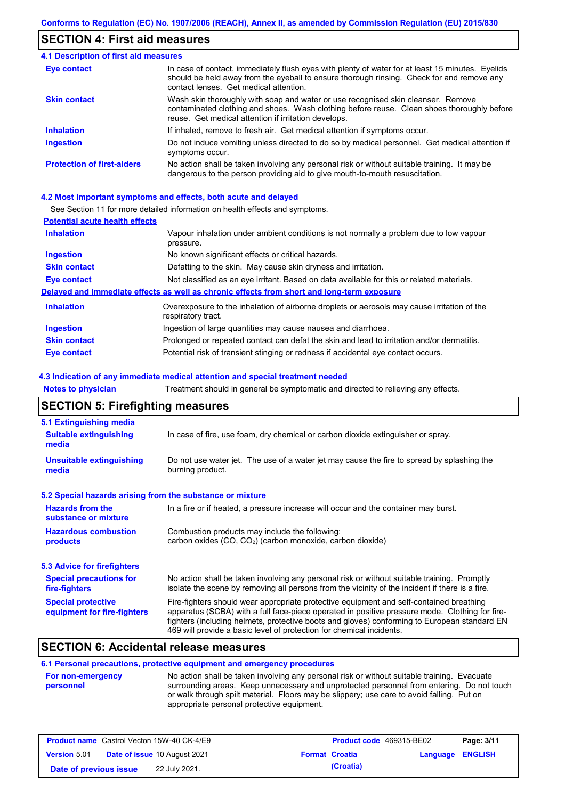## **SECTION 4: First aid measures**

#### Do not induce vomiting unless directed to do so by medical personnel. Get medical attention if symptoms occur. In case of contact, immediately flush eyes with plenty of water for at least 15 minutes. Eyelids should be held away from the eyeball to ensure thorough rinsing. Check for and remove any contact lenses. Get medical attention. **4.1 Description of first aid measures** If inhaled, remove to fresh air. Get medical attention if symptoms occur. **Ingestion Inhalation Eye contact Protection of first-aiders** No action shall be taken involving any personal risk or without suitable training. It may be dangerous to the person providing aid to give mouth-to-mouth resuscitation. **Skin contact** Wash skin thoroughly with soap and water or use recognised skin cleanser. Remove contaminated clothing and shoes. Wash clothing before reuse. Clean shoes thoroughly before reuse. Get medical attention if irritation develops.

#### **4.2 Most important symptoms and effects, both acute and delayed**

See Section 11 for more detailed information on health effects and symptoms.

| Vapour inhalation under ambient conditions is not normally a problem due to low vapour<br>pressure.               |
|-------------------------------------------------------------------------------------------------------------------|
| No known significant effects or critical hazards.                                                                 |
| Defatting to the skin. May cause skin dryness and irritation.                                                     |
| Not classified as an eye irritant. Based on data available for this or related materials.                         |
| Delayed and immediate effects as well as chronic effects from short and long-term exposure                        |
| Overexposure to the inhalation of airborne droplets or aerosols may cause irritation of the<br>respiratory tract. |
| Ingestion of large quantities may cause nausea and diarrhoea.                                                     |
| Prolonged or repeated contact can defat the skin and lead to irritation and/or dermatitis.                        |
| Potential risk of transient stinging or redness if accidental eye contact occurs.                                 |
|                                                                                                                   |

#### **4.3 Indication of any immediate medical attention and special treatment needed**

| <b>Notes to physician</b>                                 | Treatment should in general be symptomatic and directed to relieving any effects.                                                                                                                                                                                                                                                                                 |  |  |  |  |
|-----------------------------------------------------------|-------------------------------------------------------------------------------------------------------------------------------------------------------------------------------------------------------------------------------------------------------------------------------------------------------------------------------------------------------------------|--|--|--|--|
| <b>SECTION 5: Firefighting measures</b>                   |                                                                                                                                                                                                                                                                                                                                                                   |  |  |  |  |
| 5.1 Extinguishing media                                   |                                                                                                                                                                                                                                                                                                                                                                   |  |  |  |  |
| <b>Suitable extinguishing</b><br>media                    | In case of fire, use foam, dry chemical or carbon dioxide extinguisher or spray.                                                                                                                                                                                                                                                                                  |  |  |  |  |
| <b>Unsuitable extinguishing</b><br>media                  | Do not use water jet. The use of a water jet may cause the fire to spread by splashing the<br>burning product.                                                                                                                                                                                                                                                    |  |  |  |  |
| 5.2 Special hazards arising from the substance or mixture |                                                                                                                                                                                                                                                                                                                                                                   |  |  |  |  |
| <b>Hazards from the</b><br>substance or mixture           | In a fire or if heated, a pressure increase will occur and the container may burst.                                                                                                                                                                                                                                                                               |  |  |  |  |
| <b>Hazardous combustion</b><br>products                   | Combustion products may include the following:<br>carbon oxides (CO, CO <sub>2</sub> ) (carbon monoxide, carbon dioxide)                                                                                                                                                                                                                                          |  |  |  |  |
| 5.3 Advice for firefighters                               |                                                                                                                                                                                                                                                                                                                                                                   |  |  |  |  |
| <b>Special precautions for</b><br>fire-fighters           | No action shall be taken involving any personal risk or without suitable training. Promptly<br>isolate the scene by removing all persons from the vicinity of the incident if there is a fire.                                                                                                                                                                    |  |  |  |  |
| <b>Special protective</b><br>equipment for fire-fighters  | Fire-fighters should wear appropriate protective equipment and self-contained breathing<br>apparatus (SCBA) with a full face-piece operated in positive pressure mode. Clothing for fire-<br>fighters (including helmets, protective boots and gloves) conforming to European standard EN<br>469 will provide a basic level of protection for chemical incidents. |  |  |  |  |

### **SECTION 6: Accidental release measures**

#### **6.1 Personal precautions, protective equipment and emergency procedures**

| <b>For non-emergency</b> | No action shall be taken involving any personal risk or without suitable training. Evacuate |
|--------------------------|---------------------------------------------------------------------------------------------|
| personnel                | surrounding areas. Keep unnecessary and unprotected personnel from entering. Do not touch   |
|                          | or walk through spilt material. Floors may be slippery; use care to avoid falling. Put on   |
|                          | appropriate personal protective equipment.                                                  |

|                        | <b>Product name</b> Castrol Vecton 15W-40 CK-4/E9 |                       | <b>Product code</b> 469315-BE02 |                         | Page: 3/11 |
|------------------------|---------------------------------------------------|-----------------------|---------------------------------|-------------------------|------------|
| <b>Version 5.01</b>    | <b>Date of issue 10 August 2021</b>               | <b>Format Croatia</b> |                                 | <b>Language ENGLISH</b> |            |
| Date of previous issue | 22 July 2021.                                     |                       | (Croatia)                       |                         |            |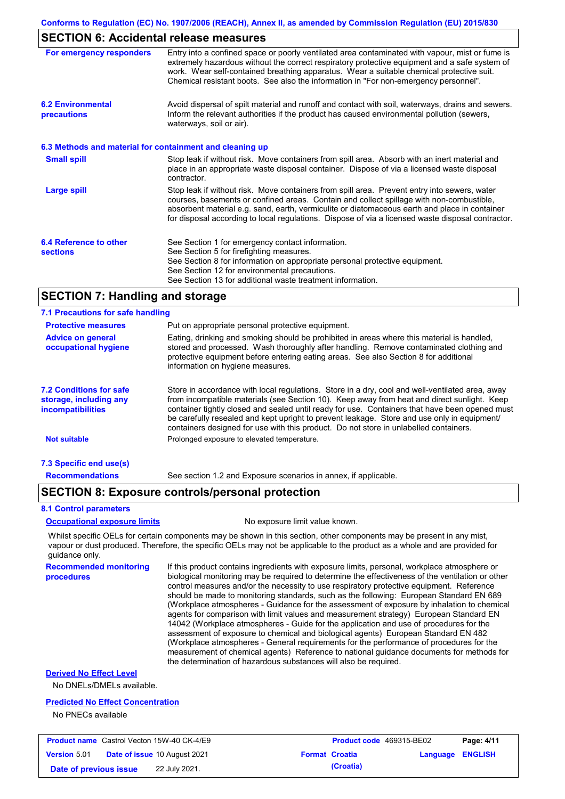### **SECTION 6: Accidental release measures**

| For emergency responders                                 | Entry into a confined space or poorly ventilated area contaminated with vapour, mist or fume is<br>extremely hazardous without the correct respiratory protective equipment and a safe system of<br>work. Wear self-contained breathing apparatus. Wear a suitable chemical protective suit.<br>Chemical resistant boots. See also the information in "For non-emergency personnel".           |
|----------------------------------------------------------|------------------------------------------------------------------------------------------------------------------------------------------------------------------------------------------------------------------------------------------------------------------------------------------------------------------------------------------------------------------------------------------------|
| <b>6.2 Environmental</b><br>precautions                  | Avoid dispersal of spilt material and runoff and contact with soil, waterways, drains and sewers.<br>Inform the relevant authorities if the product has caused environmental pollution (sewers,<br>waterways, soil or air).                                                                                                                                                                    |
| 6.3 Methods and material for containment and cleaning up |                                                                                                                                                                                                                                                                                                                                                                                                |
| <b>Small spill</b>                                       | Stop leak if without risk. Move containers from spill area. Absorb with an inert material and<br>place in an appropriate waste disposal container. Dispose of via a licensed waste disposal<br>contractor.                                                                                                                                                                                     |
| <b>Large spill</b>                                       | Stop leak if without risk. Move containers from spill area. Prevent entry into sewers, water<br>courses, basements or confined areas. Contain and collect spillage with non-combustible,<br>absorbent material e.g. sand, earth, vermiculite or diatomaceous earth and place in container<br>for disposal according to local regulations. Dispose of via a licensed waste disposal contractor. |
| 6.4 Reference to other<br><b>sections</b>                | See Section 1 for emergency contact information.<br>See Section 5 for firefighting measures.<br>See Section 8 for information on appropriate personal protective equipment.<br>See Section 12 for environmental precautions.<br>See Section 13 for additional waste treatment information.                                                                                                     |

### **SECTION 7: Handling and storage**

| 7.1 Precautions for safe handling                                                    |                                                                                                                                                                                                                                                                                                                                                                                                                                                                                          |
|--------------------------------------------------------------------------------------|------------------------------------------------------------------------------------------------------------------------------------------------------------------------------------------------------------------------------------------------------------------------------------------------------------------------------------------------------------------------------------------------------------------------------------------------------------------------------------------|
| <b>Protective measures</b>                                                           | Put on appropriate personal protective equipment.                                                                                                                                                                                                                                                                                                                                                                                                                                        |
| <b>Advice on general</b><br>occupational hygiene                                     | Eating, drinking and smoking should be prohibited in areas where this material is handled.<br>stored and processed. Wash thoroughly after handling. Remove contaminated clothing and<br>protective equipment before entering eating areas. See also Section 8 for additional<br>information on hygiene measures.                                                                                                                                                                         |
| <b>7.2 Conditions for safe</b><br>storage, including any<br><i>incompatibilities</i> | Store in accordance with local requiations. Store in a dry, cool and well-ventilated area, away<br>from incompatible materials (see Section 10). Keep away from heat and direct sunlight. Keep<br>container tightly closed and sealed until ready for use. Containers that have been opened must<br>be carefully resealed and kept upright to prevent leakage. Store and use only in equipment/<br>containers designed for use with this product. Do not store in unlabelled containers. |
| <b>Not suitable</b>                                                                  | Prolonged exposure to elevated temperature.                                                                                                                                                                                                                                                                                                                                                                                                                                              |
| 7.3 Specific end use(s)                                                              |                                                                                                                                                                                                                                                                                                                                                                                                                                                                                          |
| <b>Recommendations</b>                                                               | See section 1.2 and Exposure scenarios in annex, if applicable.                                                                                                                                                                                                                                                                                                                                                                                                                          |

### **SECTION 8: Exposure controls/personal protection**

#### **8.1 Control parameters**

#### **Occupational exposure limits** No exposure limit value known.

Whilst specific OELs for certain components may be shown in this section, other components may be present in any mist, vapour or dust produced. Therefore, the specific OELs may not be applicable to the product as a whole and are provided for guidance only.

**Recommended monitoring procedures** If this product contains ingredients with exposure limits, personal, workplace atmosphere or biological monitoring may be required to determine the effectiveness of the ventilation or other control measures and/or the necessity to use respiratory protective equipment. Reference should be made to monitoring standards, such as the following: European Standard EN 689 (Workplace atmospheres - Guidance for the assessment of exposure by inhalation to chemical agents for comparison with limit values and measurement strategy) European Standard EN 14042 (Workplace atmospheres - Guide for the application and use of procedures for the assessment of exposure to chemical and biological agents) European Standard EN 482 (Workplace atmospheres - General requirements for the performance of procedures for the measurement of chemical agents) Reference to national guidance documents for methods for the determination of hazardous substances will also be required.

### **Derived No Effect Level**

No DNELs/DMELs available.

#### **Predicted No Effect Concentration**

No PNECs available

|                        | <b>Product name</b> Castrol Vecton 15W-40 CK-4/E9 | <b>Product code</b> 469315-BE02 |                         | Page: 4/11 |
|------------------------|---------------------------------------------------|---------------------------------|-------------------------|------------|
| <b>Version 5.01</b>    | <b>Date of issue 10 August 2021</b>               | <b>Format Croatia</b>           | <b>Language ENGLISH</b> |            |
| Date of previous issue | 22 July 2021.                                     | (Croatia)                       |                         |            |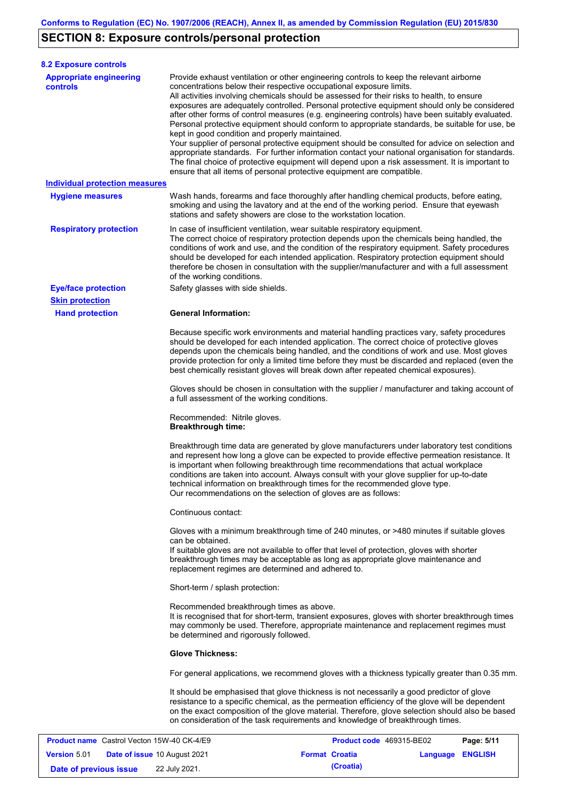# **SECTION 8: Exposure controls/personal protection**

**Version** 5.01

| <b>8.2 Exposure controls</b>                      |                                                                                                                                                                                                                                                                                                                                                                                                                                                                                                                                                                                                                                                                                                                                                                                                                                                                                                                                                                                                         |            |  |  |  |
|---------------------------------------------------|---------------------------------------------------------------------------------------------------------------------------------------------------------------------------------------------------------------------------------------------------------------------------------------------------------------------------------------------------------------------------------------------------------------------------------------------------------------------------------------------------------------------------------------------------------------------------------------------------------------------------------------------------------------------------------------------------------------------------------------------------------------------------------------------------------------------------------------------------------------------------------------------------------------------------------------------------------------------------------------------------------|------------|--|--|--|
| <b>Appropriate engineering</b><br><b>controls</b> | Provide exhaust ventilation or other engineering controls to keep the relevant airborne<br>concentrations below their respective occupational exposure limits.<br>All activities involving chemicals should be assessed for their risks to health, to ensure<br>exposures are adequately controlled. Personal protective equipment should only be considered<br>after other forms of control measures (e.g. engineering controls) have been suitably evaluated.<br>Personal protective equipment should conform to appropriate standards, be suitable for use, be<br>kept in good condition and properly maintained.<br>Your supplier of personal protective equipment should be consulted for advice on selection and<br>appropriate standards. For further information contact your national organisation for standards.<br>The final choice of protective equipment will depend upon a risk assessment. It is important to<br>ensure that all items of personal protective equipment are compatible. |            |  |  |  |
| <b>Individual protection measures</b>             |                                                                                                                                                                                                                                                                                                                                                                                                                                                                                                                                                                                                                                                                                                                                                                                                                                                                                                                                                                                                         |            |  |  |  |
| <b>Hygiene measures</b>                           | Wash hands, forearms and face thoroughly after handling chemical products, before eating,<br>smoking and using the lavatory and at the end of the working period. Ensure that eyewash<br>stations and safety showers are close to the workstation location.                                                                                                                                                                                                                                                                                                                                                                                                                                                                                                                                                                                                                                                                                                                                             |            |  |  |  |
| <b>Respiratory protection</b>                     | In case of insufficient ventilation, wear suitable respiratory equipment.<br>The correct choice of respiratory protection depends upon the chemicals being handled, the<br>conditions of work and use, and the condition of the respiratory equipment. Safety procedures<br>should be developed for each intended application. Respiratory protection equipment should<br>therefore be chosen in consultation with the supplier/manufacturer and with a full assessment<br>of the working conditions.                                                                                                                                                                                                                                                                                                                                                                                                                                                                                                   |            |  |  |  |
| <b>Eye/face protection</b>                        | Safety glasses with side shields.                                                                                                                                                                                                                                                                                                                                                                                                                                                                                                                                                                                                                                                                                                                                                                                                                                                                                                                                                                       |            |  |  |  |
| <b>Skin protection</b>                            |                                                                                                                                                                                                                                                                                                                                                                                                                                                                                                                                                                                                                                                                                                                                                                                                                                                                                                                                                                                                         |            |  |  |  |
| <b>Hand protection</b>                            | <b>General Information:</b><br>Because specific work environments and material handling practices vary, safety procedures<br>should be developed for each intended application. The correct choice of protective gloves<br>depends upon the chemicals being handled, and the conditions of work and use. Most gloves<br>provide protection for only a limited time before they must be discarded and replaced (even the<br>best chemically resistant gloves will break down after repeated chemical exposures).                                                                                                                                                                                                                                                                                                                                                                                                                                                                                         |            |  |  |  |
|                                                   | Gloves should be chosen in consultation with the supplier / manufacturer and taking account of<br>a full assessment of the working conditions.                                                                                                                                                                                                                                                                                                                                                                                                                                                                                                                                                                                                                                                                                                                                                                                                                                                          |            |  |  |  |
|                                                   | Recommended: Nitrile gloves.<br><b>Breakthrough time:</b>                                                                                                                                                                                                                                                                                                                                                                                                                                                                                                                                                                                                                                                                                                                                                                                                                                                                                                                                               |            |  |  |  |
|                                                   | Breakthrough time data are generated by glove manufacturers under laboratory test conditions<br>and represent how long a glove can be expected to provide effective permeation resistance. It<br>is important when following breakthrough time recommendations that actual workplace<br>conditions are taken into account. Always consult with your glove supplier for up-to-date<br>technical information on breakthrough times for the recommended glove type.<br>Our recommendations on the selection of gloves are as follows:                                                                                                                                                                                                                                                                                                                                                                                                                                                                      |            |  |  |  |
|                                                   | Continuous contact:                                                                                                                                                                                                                                                                                                                                                                                                                                                                                                                                                                                                                                                                                                                                                                                                                                                                                                                                                                                     |            |  |  |  |
|                                                   | Gloves with a minimum breakthrough time of 240 minutes, or >480 minutes if suitable gloves<br>can be obtained.<br>If suitable gloves are not available to offer that level of protection, gloves with shorter<br>breakthrough times may be acceptable as long as appropriate glove maintenance and<br>replacement regimes are determined and adhered to.                                                                                                                                                                                                                                                                                                                                                                                                                                                                                                                                                                                                                                                |            |  |  |  |
|                                                   | Short-term / splash protection:                                                                                                                                                                                                                                                                                                                                                                                                                                                                                                                                                                                                                                                                                                                                                                                                                                                                                                                                                                         |            |  |  |  |
|                                                   | Recommended breakthrough times as above.<br>It is recognised that for short-term, transient exposures, gloves with shorter breakthrough times<br>may commonly be used. Therefore, appropriate maintenance and replacement regimes must<br>be determined and rigorously followed.                                                                                                                                                                                                                                                                                                                                                                                                                                                                                                                                                                                                                                                                                                                        |            |  |  |  |
|                                                   | <b>Glove Thickness:</b>                                                                                                                                                                                                                                                                                                                                                                                                                                                                                                                                                                                                                                                                                                                                                                                                                                                                                                                                                                                 |            |  |  |  |
|                                                   | For general applications, we recommend gloves with a thickness typically greater than 0.35 mm.                                                                                                                                                                                                                                                                                                                                                                                                                                                                                                                                                                                                                                                                                                                                                                                                                                                                                                          |            |  |  |  |
|                                                   | It should be emphasised that glove thickness is not necessarily a good predictor of glove<br>resistance to a specific chemical, as the permeation efficiency of the glove will be dependent<br>on the exact composition of the glove material. Therefore, glove selection should also be based<br>on consideration of the task requirements and knowledge of breakthrough times.                                                                                                                                                                                                                                                                                                                                                                                                                                                                                                                                                                                                                        |            |  |  |  |
| <b>Product name</b> Castrol Vecton 15W-40 CK-4/E9 | Product code 469315-BE02                                                                                                                                                                                                                                                                                                                                                                                                                                                                                                                                                                                                                                                                                                                                                                                                                                                                                                                                                                                | Page: 5/11 |  |  |  |

**Date of issue** 10 August 2021 **Format Croatia Language ENGLISH**

**Date of previous issue 22 July 2021. (Croatia) (Croatia)**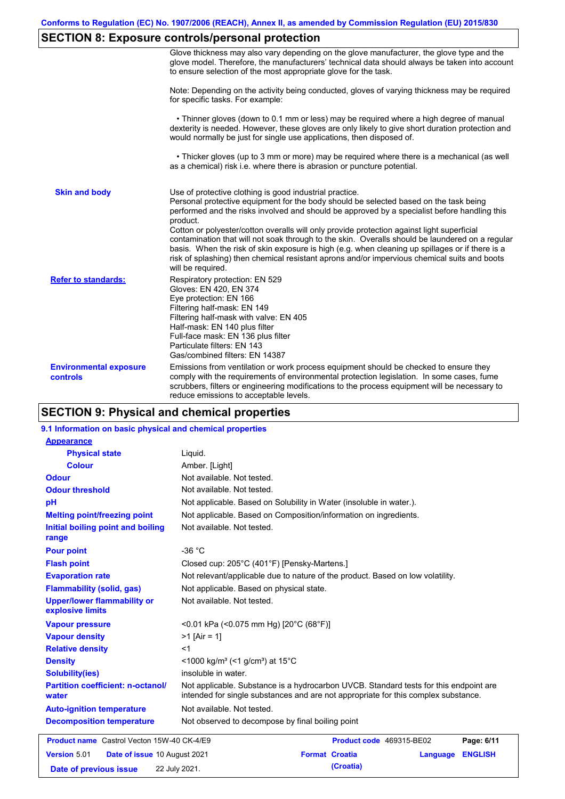# **SECTION 8: Exposure controls/personal protection**

|                                           | Glove thickness may also vary depending on the glove manufacturer, the glove type and the<br>glove model. Therefore, the manufacturers' technical data should always be taken into account<br>to ensure selection of the most appropriate glove for the task.                                                                                                                                                                                                                                                                                                                                                                                                                         |
|-------------------------------------------|---------------------------------------------------------------------------------------------------------------------------------------------------------------------------------------------------------------------------------------------------------------------------------------------------------------------------------------------------------------------------------------------------------------------------------------------------------------------------------------------------------------------------------------------------------------------------------------------------------------------------------------------------------------------------------------|
|                                           | Note: Depending on the activity being conducted, gloves of varying thickness may be required<br>for specific tasks. For example:                                                                                                                                                                                                                                                                                                                                                                                                                                                                                                                                                      |
|                                           | • Thinner gloves (down to 0.1 mm or less) may be required where a high degree of manual<br>dexterity is needed. However, these gloves are only likely to give short duration protection and<br>would normally be just for single use applications, then disposed of.                                                                                                                                                                                                                                                                                                                                                                                                                  |
|                                           | • Thicker gloves (up to 3 mm or more) may be required where there is a mechanical (as well<br>as a chemical) risk i.e. where there is abrasion or puncture potential.                                                                                                                                                                                                                                                                                                                                                                                                                                                                                                                 |
| <b>Skin and body</b>                      | Use of protective clothing is good industrial practice.<br>Personal protective equipment for the body should be selected based on the task being<br>performed and the risks involved and should be approved by a specialist before handling this<br>product.<br>Cotton or polyester/cotton overalls will only provide protection against light superficial<br>contamination that will not soak through to the skin. Overalls should be laundered on a regular<br>basis. When the risk of skin exposure is high (e.g. when cleaning up spillages or if there is a<br>risk of splashing) then chemical resistant aprons and/or impervious chemical suits and boots<br>will be required. |
| <b>Refer to standards:</b>                | Respiratory protection: EN 529<br>Gloves: EN 420, EN 374<br>Eye protection: EN 166<br>Filtering half-mask: EN 149<br>Filtering half-mask with valve: EN 405<br>Half-mask: EN 140 plus filter<br>Full-face mask: EN 136 plus filter<br>Particulate filters: EN 143<br>Gas/combined filters: EN 14387                                                                                                                                                                                                                                                                                                                                                                                   |
| <b>Environmental exposure</b><br>controls | Emissions from ventilation or work process equipment should be checked to ensure they<br>comply with the requirements of environmental protection legislation. In some cases, fume<br>scrubbers, filters or engineering modifications to the process equipment will be necessary to<br>reduce emissions to acceptable levels.                                                                                                                                                                                                                                                                                                                                                         |

# **SECTION 9: Physical and chemical properties**

### **9.1 Information on basic physical and chemical properties**

| <b>Appearance</b>                                      |                                                                                                                                                                             |
|--------------------------------------------------------|-----------------------------------------------------------------------------------------------------------------------------------------------------------------------------|
| <b>Physical state</b>                                  | Liquid.                                                                                                                                                                     |
| <b>Colour</b>                                          | Amber. [Light]                                                                                                                                                              |
| <b>Odour</b>                                           | Not available. Not tested.                                                                                                                                                  |
| <b>Odour threshold</b>                                 | Not available. Not tested.                                                                                                                                                  |
| pH                                                     | Not applicable. Based on Solubility in Water (insoluble in water.).                                                                                                         |
| <b>Melting point/freezing point</b>                    | Not applicable. Based on Composition/information on ingredients.                                                                                                            |
| Initial boiling point and boiling<br>range             | Not available. Not tested.                                                                                                                                                  |
| <b>Pour point</b>                                      | $-36 °C$                                                                                                                                                                    |
| <b>Flash point</b>                                     | Closed cup: 205°C (401°F) [Pensky-Martens.]                                                                                                                                 |
| <b>Evaporation rate</b>                                | Not relevant/applicable due to nature of the product. Based on low volatility.                                                                                              |
| <b>Flammability (solid, gas)</b>                       | Not applicable. Based on physical state.                                                                                                                                    |
| <b>Upper/lower flammability or</b><br>explosive limits | Not available. Not tested.                                                                                                                                                  |
| <b>Vapour pressure</b>                                 | <0.01 kPa (<0.075 mm Hg) [20°C (68°F)]                                                                                                                                      |
| <b>Vapour density</b>                                  | $>1$ [Air = 1]                                                                                                                                                              |
| <b>Relative density</b>                                | $<$ 1                                                                                                                                                                       |
| <b>Density</b>                                         | <1000 kg/m <sup>3</sup> (<1 g/cm <sup>3</sup> ) at 15 <sup>°</sup> C                                                                                                        |
| <b>Solubility(ies)</b>                                 | insoluble in water.                                                                                                                                                         |
| <b>Partition coefficient: n-octanol/</b><br>water      | Not applicable. Substance is a hydrocarbon UVCB. Standard tests for this endpoint are<br>intended for single substances and are not appropriate for this complex substance. |
| <b>Auto-ignition temperature</b>                       | Not available. Not tested.                                                                                                                                                  |
| <b>Decomposition temperature</b>                       | Not observed to decompose by final boiling point                                                                                                                            |
| <b>Product name</b> Castrol Vecton 15W-40 CK-4/E9      | Product code 469315-BE02<br>Page: 6/11                                                                                                                                      |
| Version 5.01<br>Date of issue 10 August 2021           | <b>ENGLISH</b><br><b>Format Croatia</b><br>Language                                                                                                                         |
| Date of previous issue                                 | (Croatia)<br>22 July 2021.                                                                                                                                                  |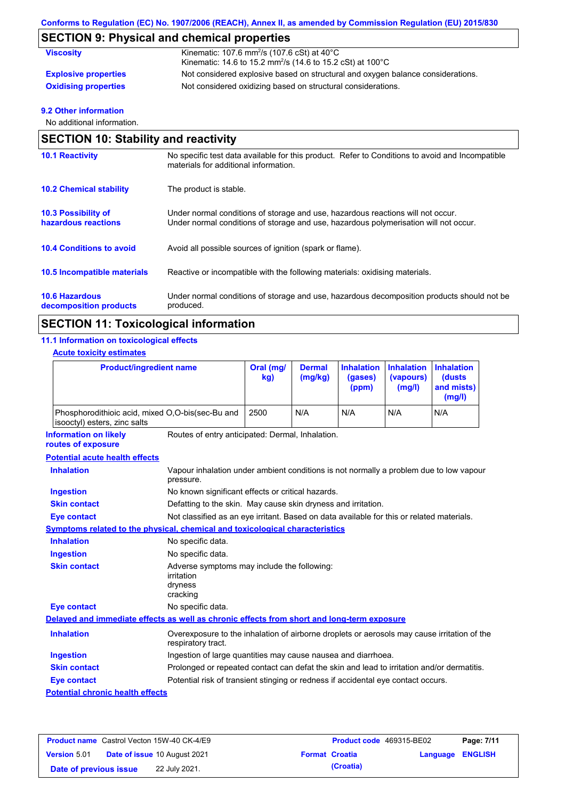# **SECTION 9: Physical and chemical properties**

| <b>Viscosity</b>            | Kinematic: 107.6 mm <sup>2</sup> /s (107.6 cSt) at $40^{\circ}$ C<br>Kinematic: 14.6 to 15.2 mm <sup>2</sup> /s (14.6 to 15.2 cSt) at 100 $^{\circ}$ C |
|-----------------------------|--------------------------------------------------------------------------------------------------------------------------------------------------------|
|                             |                                                                                                                                                        |
| <b>Explosive properties</b> | Not considered explosive based on structural and oxygen balance considerations.                                                                        |
| <b>Oxidising properties</b> | Not considered oxidizing based on structural considerations.                                                                                           |

### **9.2 Other information**

No additional information.

|                                                   | <b>SECTION 10: Stability and reactivity</b>                                                                                                                             |  |  |  |  |
|---------------------------------------------------|-------------------------------------------------------------------------------------------------------------------------------------------------------------------------|--|--|--|--|
| <b>10.1 Reactivity</b>                            | No specific test data available for this product. Refer to Conditions to avoid and Incompatible<br>materials for additional information.                                |  |  |  |  |
| <b>10.2 Chemical stability</b>                    | The product is stable.                                                                                                                                                  |  |  |  |  |
| <b>10.3 Possibility of</b><br>hazardous reactions | Under normal conditions of storage and use, hazardous reactions will not occur.<br>Under normal conditions of storage and use, hazardous polymerisation will not occur. |  |  |  |  |
| <b>10.4 Conditions to avoid</b>                   | Avoid all possible sources of ignition (spark or flame).                                                                                                                |  |  |  |  |
| 10.5 Incompatible materials                       | Reactive or incompatible with the following materials: oxidising materials.                                                                                             |  |  |  |  |
| <b>10.6 Hazardous</b><br>decomposition products   | Under normal conditions of storage and use, hazardous decomposition products should not be<br>produced.                                                                 |  |  |  |  |

# **SECTION 11: Toxicological information**

### **11.1 Information on toxicological effects**

### **Acute toxicity estimates**

| <b>Product/ingredient name</b>                                                             |                                                                                                                   | Oral (mg/<br>kg) | <b>Dermal</b><br>(mg/kg) | <b>Inhalation</b><br>(gases)<br>(ppm) | <b>Inhalation</b><br>(vapours)<br>(mg/l) | <b>Inhalation</b><br><b>(dusts)</b><br>and mists)<br>(mg/l) |
|--------------------------------------------------------------------------------------------|-------------------------------------------------------------------------------------------------------------------|------------------|--------------------------|---------------------------------------|------------------------------------------|-------------------------------------------------------------|
| Phosphorodithioic acid, mixed O,O-bis(sec-Bu and<br>isooctyl) esters, zinc salts           |                                                                                                                   | 2500             | N/A                      | N/A                                   | N/A                                      | N/A                                                         |
| <b>Information on likely</b><br>routes of exposure                                         | Routes of entry anticipated: Dermal, Inhalation.                                                                  |                  |                          |                                       |                                          |                                                             |
| <b>Potential acute health effects</b>                                                      |                                                                                                                   |                  |                          |                                       |                                          |                                                             |
| <b>Inhalation</b>                                                                          | Vapour inhalation under ambient conditions is not normally a problem due to low vapour<br>pressure.               |                  |                          |                                       |                                          |                                                             |
| <b>Ingestion</b>                                                                           | No known significant effects or critical hazards.                                                                 |                  |                          |                                       |                                          |                                                             |
| <b>Skin contact</b>                                                                        | Defatting to the skin. May cause skin dryness and irritation.                                                     |                  |                          |                                       |                                          |                                                             |
| <b>Eye contact</b>                                                                         | Not classified as an eye irritant. Based on data available for this or related materials.                         |                  |                          |                                       |                                          |                                                             |
| Symptoms related to the physical, chemical and toxicological characteristics               |                                                                                                                   |                  |                          |                                       |                                          |                                                             |
| <b>Inhalation</b>                                                                          | No specific data.                                                                                                 |                  |                          |                                       |                                          |                                                             |
| <b>Ingestion</b>                                                                           | No specific data.                                                                                                 |                  |                          |                                       |                                          |                                                             |
| <b>Skin contact</b>                                                                        | Adverse symptoms may include the following:<br>irritation<br>dryness<br>cracking                                  |                  |                          |                                       |                                          |                                                             |
| <b>Eye contact</b>                                                                         | No specific data.                                                                                                 |                  |                          |                                       |                                          |                                                             |
| Delayed and immediate effects as well as chronic effects from short and long-term exposure |                                                                                                                   |                  |                          |                                       |                                          |                                                             |
| <b>Inhalation</b>                                                                          | Overexposure to the inhalation of airborne droplets or aerosols may cause irritation of the<br>respiratory tract. |                  |                          |                                       |                                          |                                                             |
| <b>Ingestion</b>                                                                           | Ingestion of large quantities may cause nausea and diarrhoea.                                                     |                  |                          |                                       |                                          |                                                             |
| <b>Skin contact</b>                                                                        | Prolonged or repeated contact can defat the skin and lead to irritation and/or dermatitis.                        |                  |                          |                                       |                                          |                                                             |
| <b>Eye contact</b>                                                                         | Potential risk of transient stinging or redness if accidental eye contact occurs.                                 |                  |                          |                                       |                                          |                                                             |
| <b>Potential chronic health effects</b>                                                    |                                                                                                                   |                  |                          |                                       |                                          |                                                             |

|                        | <b>Product name</b> Castrol Vecton 15W-40 CK-4/E9 | <b>Product code</b> 469315-BE02 |                  | Page: 7/11 |
|------------------------|---------------------------------------------------|---------------------------------|------------------|------------|
| <b>Version 5.01</b>    | <b>Date of issue 10 August 2021</b>               | <b>Format Croatia</b>           | Language ENGLISH |            |
| Date of previous issue | 22 July 2021.                                     | (Croatia)                       |                  |            |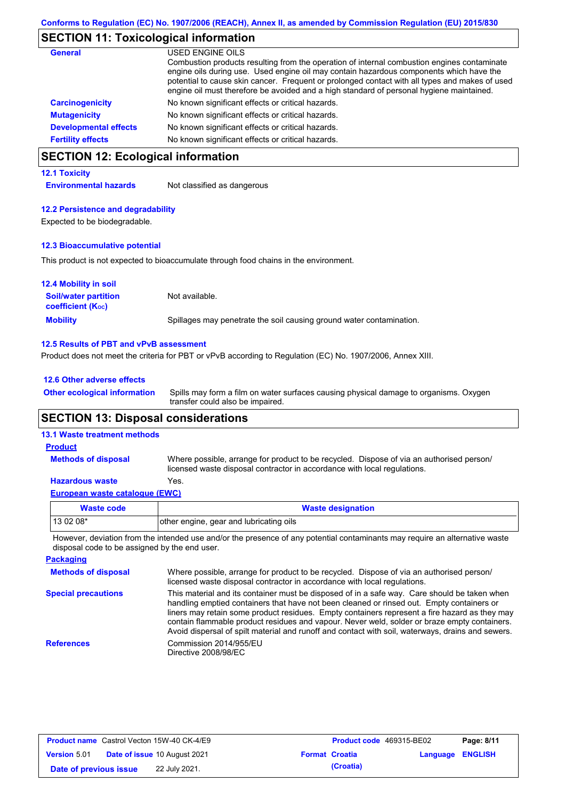## **SECTION 11: Toxicological information**

| General                      | USED ENGINE OILS<br>Combustion products resulting from the operation of internal combustion engines contaminate<br>engine oils during use. Used engine oil may contain hazardous components which have the<br>potential to cause skin cancer. Frequent or prolonged contact with all types and makes of used<br>engine oil must therefore be avoided and a high standard of personal hygiene maintained. |
|------------------------------|----------------------------------------------------------------------------------------------------------------------------------------------------------------------------------------------------------------------------------------------------------------------------------------------------------------------------------------------------------------------------------------------------------|
| <b>Carcinogenicity</b>       | No known significant effects or critical hazards.                                                                                                                                                                                                                                                                                                                                                        |
| <b>Mutagenicity</b>          | No known significant effects or critical hazards.                                                                                                                                                                                                                                                                                                                                                        |
| <b>Developmental effects</b> | No known significant effects or critical hazards.                                                                                                                                                                                                                                                                                                                                                        |
| <b>Fertility effects</b>     | No known significant effects or critical hazards.                                                                                                                                                                                                                                                                                                                                                        |

# **SECTION 12: Ecological information**

#### **12.1 Toxicity**

**Environmental hazards** Not classified as dangerous

#### **12.2 Persistence and degradability**

Expected to be biodegradable.

#### **12.3 Bioaccumulative potential**

This product is not expected to bioaccumulate through food chains in the environment.

| <b>12.4 Mobility in soil</b>                                  |                                                                      |
|---------------------------------------------------------------|----------------------------------------------------------------------|
| <b>Soil/water partition</b><br>coefficient (K <sub>oc</sub> ) | Not available.                                                       |
| <b>Mobility</b>                                               | Spillages may penetrate the soil causing ground water contamination. |

#### **12.5 Results of PBT and vPvB assessment**

Product does not meet the criteria for PBT or vPvB according to Regulation (EC) No. 1907/2006, Annex XIII.

#### **12.6 Other adverse effects**

Spills may form a film on water surfaces causing physical damage to organisms. Oxygen transfer could also be impaired. **Other ecological information**

## **SECTION 13: Disposal considerations**

### **13.1 Waste treatment methods**

**Methods of disposal**

#### **Product**

Where possible, arrange for product to be recycled. Dispose of via an authorised person/ licensed waste disposal contractor in accordance with local regulations.

### **Hazardous waste** Yes.

| European waste catalogue (EWC) |  |  |
|--------------------------------|--|--|
|                                |  |  |

| Waste code | <b>Waste designation</b>                |
|------------|-----------------------------------------|
| 13 02 08*  | other engine, gear and lubricating oils |

However, deviation from the intended use and/or the presence of any potential contaminants may require an alternative waste disposal code to be assigned by the end user.

| <b>Packaging</b>           |                                                                                                                                                                                                                                                                                                                                                                                                                                                                                                 |
|----------------------------|-------------------------------------------------------------------------------------------------------------------------------------------------------------------------------------------------------------------------------------------------------------------------------------------------------------------------------------------------------------------------------------------------------------------------------------------------------------------------------------------------|
| <b>Methods of disposal</b> | Where possible, arrange for product to be recycled. Dispose of via an authorised person/<br>licensed waste disposal contractor in accordance with local regulations.                                                                                                                                                                                                                                                                                                                            |
| <b>Special precautions</b> | This material and its container must be disposed of in a safe way. Care should be taken when<br>handling emptied containers that have not been cleaned or rinsed out. Empty containers or<br>liners may retain some product residues. Empty containers represent a fire hazard as they may<br>contain flammable product residues and vapour. Never weld, solder or braze empty containers.<br>Avoid dispersal of spilt material and runoff and contact with soil, waterways, drains and sewers. |
| <b>References</b>          | Commission 2014/955/EU<br>Directive 2008/98/EC                                                                                                                                                                                                                                                                                                                                                                                                                                                  |

| <b>Product name</b> Castrol Vecton 15W-40 CK-4/E9 |  | <b>Product code</b> 469315-BE02     |  | Page: 8/11            |                         |  |
|---------------------------------------------------|--|-------------------------------------|--|-----------------------|-------------------------|--|
| <b>Version 5.01</b>                               |  | <b>Date of issue 10 August 2021</b> |  | <b>Format Croatia</b> | <b>Language ENGLISH</b> |  |
| Date of previous issue                            |  | 22 July 2021.                       |  | (Croatia)             |                         |  |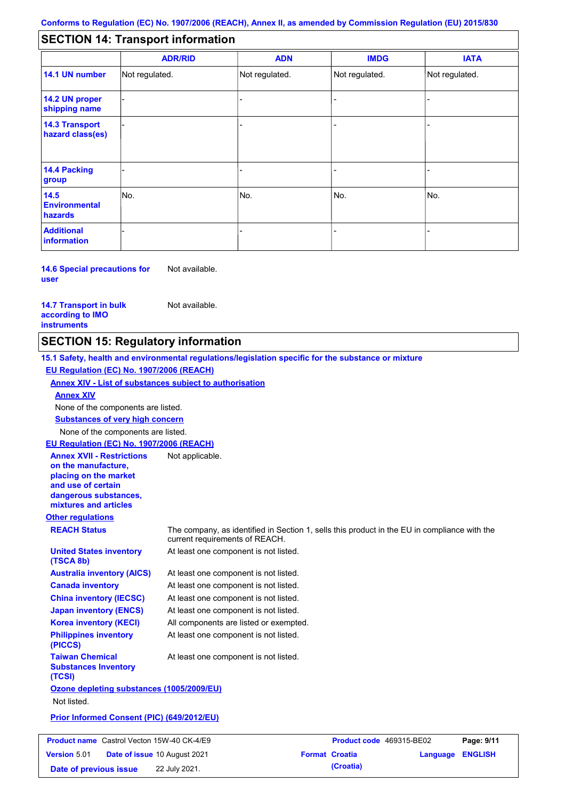#### - - - - - - - - - Not regulated. Not regulated. Not regulated. - - - **SECTION 14: Transport information ADR/RID IMDG IATA 14.1 UN number 14.2 UN proper shipping name 14.3 Transport hazard class(es) 14.4 Packing group ADN Additional information 14.5 Environmental hazards** No. 1988 | No. 1989 | No. 1989 | No. 1989 | No. 1989 | No. 1989 | No. 1989 | No. 1989 | No. 1989 | No. 1989 | Not regulated. - -<br>No. - -

**14.6 Special precautions for user** Not available.

**14.7 Transport in bulk according to IMO instruments**

Not available.

**Date of previous issue 22 July 2021. Croatia** 

# **SECTION 15: Regulatory information**

**Other regulations REACH Status** The company, as identified in Section 1, sells this product in the EU in compliance with the current requirements of REACH. **15.1 Safety, health and environmental regulations/legislation specific for the substance or mixture EU Regulation (EC) No. 1907/2006 (REACH) Annex XIV - List of substances subject to authorisation Substances of very high concern** None of the components are listed. At least one component is not listed. At least one component is not listed. At least one component is not listed. At least one component is not listed. At least one component is not listed. All components are listed or exempted. At least one component is not listed. **United States inventory (TSCA 8b) Australia inventory (AICS) Canada inventory China inventory (IECSC) Japan inventory (ENCS) Korea inventory (KECI) Philippines inventory (PICCS) Taiwan Chemical Substances Inventory (TCSI)** At least one component is not listed. **Ozone depleting substances (1005/2009/EU)** Not listed. **Prior Informed Consent (PIC) (649/2012/EU)** None of the components are listed. **Annex XIV EU Regulation (EC) No. 1907/2006 (REACH) Annex XVII - Restrictions on the manufacture, placing on the market and use of certain dangerous substances, mixtures and articles** Not applicable. **Product name** Castrol Vecton 15W-40 CK-4/E9 **Product Code 469315-BE02 Page: 9/11 Version** 5.01 **Date of issue** 10 August 2021 **Format Croatia Language ENGLISH**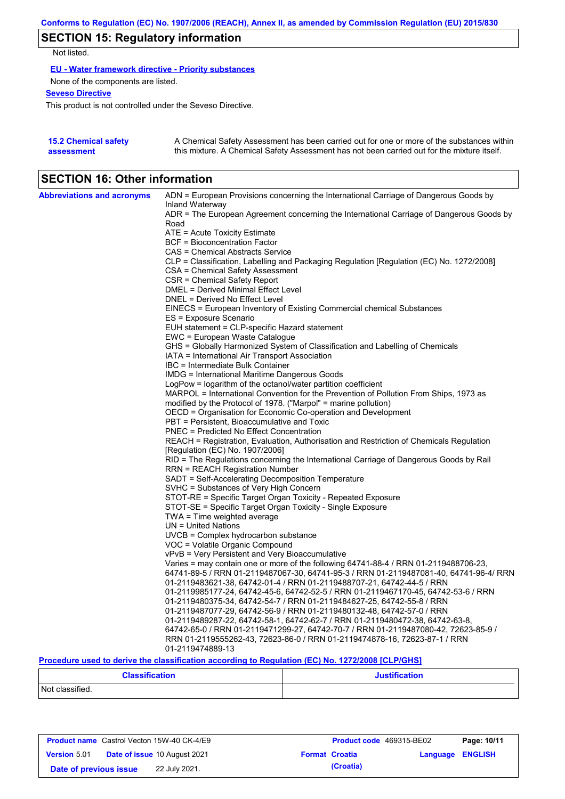# **SECTION 15: Regulatory information**

Not listed.

**EU - Water framework directive - Priority substances**

None of the components are listed.

**Seveso Directive**

This product is not controlled under the Seveso Directive.

| <b>15.2 Chemical safety</b> | A Chemical Safety Assessment has been carried out for one or more of the substances within  |
|-----------------------------|---------------------------------------------------------------------------------------------|
| assessment                  | this mixture. A Chemical Safety Assessment has not been carried out for the mixture itself. |

# **SECTION 16: Other information**

| <b>Abbreviations and acronyms</b> | ADN = European Provisions concerning the International Carriage of Dangerous Goods by                                                                                                                                                     |
|-----------------------------------|-------------------------------------------------------------------------------------------------------------------------------------------------------------------------------------------------------------------------------------------|
|                                   | Inland Waterway<br>ADR = The European Agreement concerning the International Carriage of Dangerous Goods by                                                                                                                               |
|                                   | Road                                                                                                                                                                                                                                      |
|                                   | ATE = Acute Toxicity Estimate                                                                                                                                                                                                             |
|                                   | <b>BCF</b> = Bioconcentration Factor                                                                                                                                                                                                      |
|                                   | CAS = Chemical Abstracts Service                                                                                                                                                                                                          |
|                                   | CLP = Classification, Labelling and Packaging Regulation [Regulation (EC) No. 1272/2008]                                                                                                                                                  |
|                                   | CSA = Chemical Safety Assessment                                                                                                                                                                                                          |
|                                   | CSR = Chemical Safety Report                                                                                                                                                                                                              |
|                                   | DMEL = Derived Minimal Effect Level                                                                                                                                                                                                       |
|                                   | DNEL = Derived No Effect Level                                                                                                                                                                                                            |
|                                   | EINECS = European Inventory of Existing Commercial chemical Substances                                                                                                                                                                    |
|                                   | ES = Exposure Scenario                                                                                                                                                                                                                    |
|                                   | EUH statement = CLP-specific Hazard statement                                                                                                                                                                                             |
|                                   | EWC = European Waste Catalogue                                                                                                                                                                                                            |
|                                   | GHS = Globally Harmonized System of Classification and Labelling of Chemicals                                                                                                                                                             |
|                                   | IATA = International Air Transport Association                                                                                                                                                                                            |
|                                   | IBC = Intermediate Bulk Container                                                                                                                                                                                                         |
|                                   | IMDG = International Maritime Dangerous Goods                                                                                                                                                                                             |
|                                   | LogPow = logarithm of the octanol/water partition coefficient<br>MARPOL = International Convention for the Prevention of Pollution From Ships, 1973 as                                                                                    |
|                                   | modified by the Protocol of 1978. ("Marpol" = marine pollution)                                                                                                                                                                           |
|                                   | OECD = Organisation for Economic Co-operation and Development                                                                                                                                                                             |
|                                   | PBT = Persistent, Bioaccumulative and Toxic                                                                                                                                                                                               |
|                                   | <b>PNEC = Predicted No Effect Concentration</b>                                                                                                                                                                                           |
|                                   | REACH = Registration, Evaluation, Authorisation and Restriction of Chemicals Regulation                                                                                                                                                   |
|                                   | [Regulation (EC) No. 1907/2006]                                                                                                                                                                                                           |
|                                   | RID = The Regulations concerning the International Carriage of Dangerous Goods by Rail                                                                                                                                                    |
|                                   | <b>RRN = REACH Registration Number</b>                                                                                                                                                                                                    |
|                                   | SADT = Self-Accelerating Decomposition Temperature                                                                                                                                                                                        |
|                                   | SVHC = Substances of Very High Concern                                                                                                                                                                                                    |
|                                   | STOT-RE = Specific Target Organ Toxicity - Repeated Exposure                                                                                                                                                                              |
|                                   | STOT-SE = Specific Target Organ Toxicity - Single Exposure                                                                                                                                                                                |
|                                   | TWA = Time weighted average                                                                                                                                                                                                               |
|                                   | $UN = United Nations$                                                                                                                                                                                                                     |
|                                   | $UVCB = Complex\;hydrocarbon\; substance$                                                                                                                                                                                                 |
|                                   | VOC = Volatile Organic Compound                                                                                                                                                                                                           |
|                                   | vPvB = Very Persistent and Very Bioaccumulative                                                                                                                                                                                           |
|                                   | Varies = may contain one or more of the following 64741-88-4 / RRN 01-2119488706-23,                                                                                                                                                      |
|                                   | 64741-89-5 / RRN 01-2119487067-30, 64741-95-3 / RRN 01-2119487081-40, 64741-96-4/ RRN                                                                                                                                                     |
|                                   | 01-2119483621-38, 64742-01-4 / RRN 01-2119488707-21, 64742-44-5 / RRN                                                                                                                                                                     |
|                                   | 01-2119985177-24, 64742-45-6, 64742-52-5 / RRN 01-2119467170-45, 64742-53-6 / RRN                                                                                                                                                         |
|                                   | 01-2119480375-34, 64742-54-7 / RRN 01-2119484627-25, 64742-55-8 / RRN                                                                                                                                                                     |
|                                   | 01-2119487077-29, 64742-56-9 / RRN 01-2119480132-48, 64742-57-0 / RRN                                                                                                                                                                     |
|                                   | 01-2119489287-22, 64742-58-1, 64742-62-7 / RRN 01-2119480472-38, 64742-63-8,<br>64742-65-0 / RRN 01-2119471299-27, 64742-70-7 / RRN 01-2119487080-42, 72623-85-9 /                                                                        |
|                                   | RRN 01-2119555262-43, 72623-86-0 / RRN 01-2119474878-16, 72623-87-1 / RRN                                                                                                                                                                 |
|                                   | 01-2119474889-13                                                                                                                                                                                                                          |
|                                   | $\mathbf{B}$ . $\mathbf{B}$ . The set of the set of the set of the set of $\mathbf{B}$ . The set of the set of the set of the set of the set of the set of the set of the set of the set of the set of the set of the set of the set of t |

**Procedure used to derive the classification according to Regulation (EC) No. 1272/2008 [CLP/GHS]**

| <b>Classification</b> | <b>Justification</b> |
|-----------------------|----------------------|
| Not classified.       |                      |

| <b>Product name</b> Castrol Vecton 15W-40 CK-4/E9 |  | <b>Product code</b> 469315-BE02     | Page: 10/11           |           |                         |  |
|---------------------------------------------------|--|-------------------------------------|-----------------------|-----------|-------------------------|--|
| <b>Version 5.01</b>                               |  | <b>Date of issue 10 August 2021</b> | <b>Format Croatia</b> |           | <b>Language ENGLISH</b> |  |
| Date of previous issue                            |  | 22 July 2021.                       |                       | (Croatia) |                         |  |